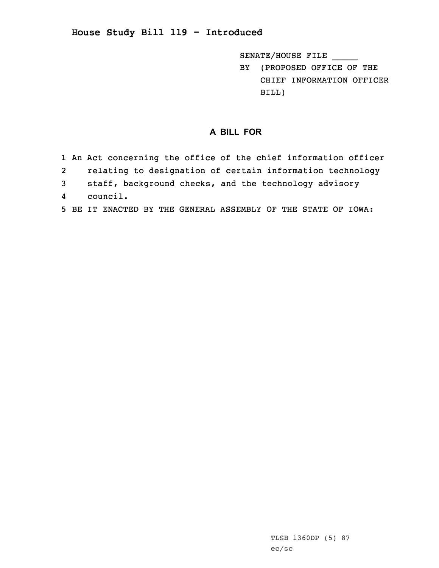## **House Study Bill 119 - Introduced**

SENATE/HOUSE FILE \_\_\_\_\_

BY (PROPOSED OFFICE OF THE CHIEF INFORMATION OFFICER BILL)

## **A BILL FOR**

- 1 An Act concerning the office of the chief information officer
- 2relating to designation of certain information technology
- 3 staff, background checks, and the technology advisory
- 4council.
- 5 BE IT ENACTED BY THE GENERAL ASSEMBLY OF THE STATE OF IOWA: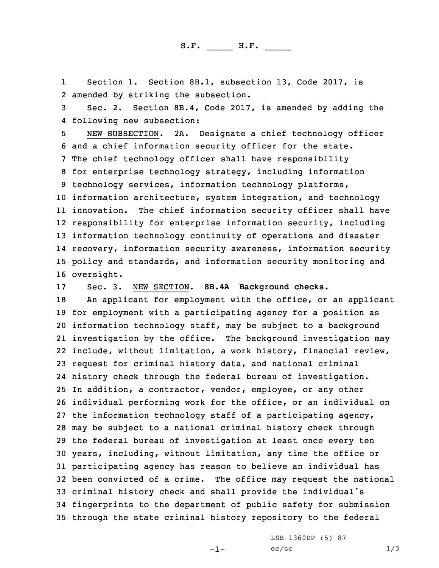S.F. \_\_\_\_\_ H.F. \_\_\_\_

1 Section 1. Section 8B.1, subsection 13, Code 2017, is 2 amended by striking the subsection.

3 Sec. 2. Section 8B.4, Code 2017, is amended by adding the 4 following new subsection:

 NEW SUBSECTION. 2A. Designate <sup>a</sup> chief technology officer and <sup>a</sup> chief information security officer for the state. The chief technology officer shall have responsibility for enterprise technology strategy, including information technology services, information technology platforms, information architecture, system integration, and technology innovation. The chief information security officer shall have responsibility for enterprise information security, including information technology continuity of operations and disaster recovery, information security awareness, information security policy and standards, and information security monitoring and oversight.

17 Sec. 3. NEW SECTION. **8B.4A Background checks.**

18 An applicant for employment with the office, or an applicant for employment with <sup>a</sup> participating agency for <sup>a</sup> position as information technology staff, may be subject to <sup>a</sup> background investigation by the office. The background investigation may include, without limitation, <sup>a</sup> work history, financial review, request for criminal history data, and national criminal history check through the federal bureau of investigation. In addition, <sup>a</sup> contractor, vendor, employee, or any other individual performing work for the office, or an individual on the information technology staff of <sup>a</sup> participating agency, may be subject to <sup>a</sup> national criminal history check through the federal bureau of investigation at least once every ten years, including, without limitation, any time the office or participating agency has reason to believe an individual has been convicted of <sup>a</sup> crime. The office may request the national criminal history check and shall provide the individual's fingerprints to the department of public safety for submission through the state criminal history repository to the federal

 $-1-$ 

LSB 1360DP (5) 87  $ec/sec$   $1/3$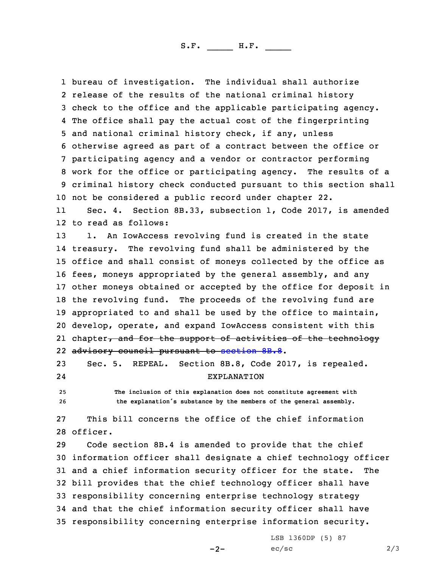S.F. \_\_\_\_\_ H.F. \_\_\_\_

 bureau of investigation. The individual shall authorize release of the results of the national criminal history check to the office and the applicable participating agency. The office shall pay the actual cost of the fingerprinting and national criminal history check, if any, unless otherwise agreed as part of <sup>a</sup> contract between the office or participating agency and <sup>a</sup> vendor or contractor performing work for the office or participating agency. The results of <sup>a</sup> criminal history check conducted pursuant to this section shall not be considered <sup>a</sup> public record under chapter 22.

11 Sec. 4. Section 8B.33, subsection 1, Code 2017, is amended 12 to read as follows:

13 1. An IowAccess revolving fund is created in the state 14 treasury. The revolving fund shall be administered by the office and shall consist of moneys collected by the office as fees, moneys appropriated by the general assembly, and any other moneys obtained or accepted by the office for deposit in the revolving fund. The proceeds of the revolving fund are appropriated to and shall be used by the office to maintain, develop, operate, and expand IowAccess consistent with this 21 chapter<del>, and for the support of activities of the technology</del> advisory council pursuant to [section](https://www.legis.iowa.gov/docs/code/2017/8B.8.pdf) 8B.8.

23 Sec. 5. REPEAL. Section 8B.8, Code 2017, is repealed. 24EXPLANATION

25 **The inclusion of this explanation does not constitute agreement with** <sup>26</sup> **the explanation's substance by the members of the general assembly.**

27 This bill concerns the office of the chief information 28 officer.

 Code section 8B.4 is amended to provide that the chief information officer shall designate <sup>a</sup> chief technology officer and <sup>a</sup> chief information security officer for the state. The bill provides that the chief technology officer shall have responsibility concerning enterprise technology strategy and that the chief information security officer shall have responsibility concerning enterprise information security.

 $-2-$ 

LSB 1360DP (5) 87  $ec/sec$  2/3